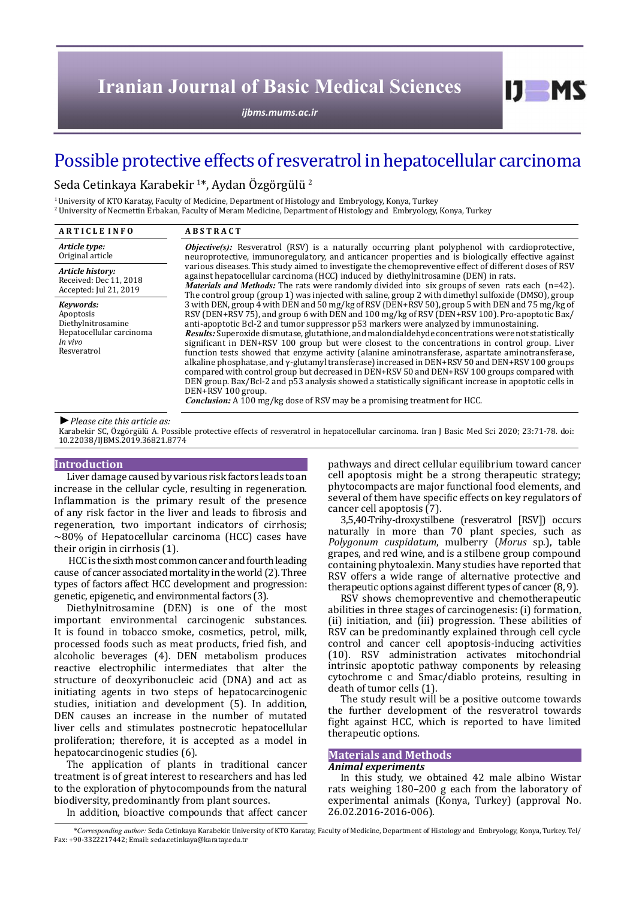*[ijbms.mums.ac.ir](http://ijbms.mums.ac.ir)*

# Possible protective effects of resveratrol in hepatocellular carcinoma

Seda Cetinkaya Karabekir <sup>1</sup> \*, Aydan Özgörgülü <sup>2</sup>

1 University of KTO Karatay, Faculty of Medicine, Department of Histology and Embryology, Konya, Turkey  $^{\prime}$  University of Necmettin Erbakan, Faculty of Meram Medicine, Department of Histology and  $\,$  Embryology, Konya, Turkey

| <b>ARTICLE INFO</b>                                                                                | <b>ABSTRACT</b>                                                                                                                                                                                                                                                                                                                                                                                                                                                                                                                                                                                                                                                                                                                                                                                                                                                                                                                                                                                                                              |
|----------------------------------------------------------------------------------------------------|----------------------------------------------------------------------------------------------------------------------------------------------------------------------------------------------------------------------------------------------------------------------------------------------------------------------------------------------------------------------------------------------------------------------------------------------------------------------------------------------------------------------------------------------------------------------------------------------------------------------------------------------------------------------------------------------------------------------------------------------------------------------------------------------------------------------------------------------------------------------------------------------------------------------------------------------------------------------------------------------------------------------------------------------|
| Article type:<br>Original article                                                                  | <b><i>Objective(s):</i></b> Resveratrol (RSV) is a naturally occurring plant polyphenol with cardioprotective,<br>neuroprotective, immunoregulatory, and anticancer properties and is biologically effective against                                                                                                                                                                                                                                                                                                                                                                                                                                                                                                                                                                                                                                                                                                                                                                                                                         |
| Article history:<br>Received: Dec 11, 2018<br>Accepted: Jul 21, 2019                               | various diseases. This study aimed to investigate the chemopreventive effect of different doses of RSV<br>against hepatocellular carcinoma (HCC) induced by diethylnitrosamine (DEN) in rats.<br><i>Materials and Methods:</i> The rats were randomly divided into six groups of seven rats each $(n=42)$ .<br>The control group (group 1) was injected with saline, group 2 with dimethyl sulfoxide (DMSO), group                                                                                                                                                                                                                                                                                                                                                                                                                                                                                                                                                                                                                           |
| Kevwords:<br>Apoptosis<br>Diethylnitrosamine<br>Hepatocellular carcinoma<br>In vivo<br>Resveratrol | 3 with DEN, group 4 with DEN and 50 mg/kg of RSV (DEN+RSV 50), group 5 with DEN and 75 mg/kg of<br>RSV (DEN+RSV 75), and group 6 with DEN and 100 mg/kg of RSV (DEN+RSV 100). Pro-apoptotic Bax/<br>anti-apoptotic Bcl-2 and tumor suppressor p53 markers were analyzed by immunostaining.<br>Results: Superoxide dismutase, glutathione, and malondialdehyde concentrations were not statistically<br>significant in DEN+RSV 100 group but were closest to the concentrations in control group. Liver<br>function tests showed that enzyme activity (alanine aminotransferase, aspartate aminotransferase,<br>alkaline phosphatase, and $\gamma$ -glutamyl transferase) increased in DEN+RSV 50 and DEN+RSV 100 groups<br>compared with control group but decreased in DEN+RSV 50 and DEN+RSV 100 groups compared with<br>DEN group. Bax/Bcl-2 and p53 analysis showed a statistically significant increase in apoptotic cells in<br>DEN+RSV 100 group.<br><b>Conclusion:</b> A 100 mg/kg dose of RSV may be a promising treatment for HCC. |

*►Please cite this article as:*

Karabekir SC, Özgörgülü A. Possible protective effects of resveratrol in hepatocellular carcinoma. Iran J Basic Med Sci 2020; 23:71-78. doi: 10.22038/IJBMS.2019.36821.8774

#### **Introduction**

Liver damage caused by various risk factors leads to an increase in the cellular cycle, resulting in regeneration. Inflammation is the primary result of the presence of any risk factor in the liver and leads to fibrosis and regeneration, two important indicators of cirrhosis;  $\sim$ 80% of Hepatocellular carcinoma (HCC) cases have their origin in cirrhosis (1).

 HCC is the sixth most common cancer and fourth leading cause of cancer associated mortality in the world (2). Three types of factors affect HCC development and progression: genetic, epigenetic, and environmental factors (3).

Diethylnitrosamine (DEN) is one of the most important environmental carcinogenic substances. It is found in tobacco smoke, cosmetics, petrol, milk, processed foods such as meat products, fried fish, and alcoholic beverages (4). DEN metabolism produces reactive electrophilic intermediates that alter the structure of deoxyribonucleic acid (DNA) and act as initiating agents in two steps of hepatocarcinogenic studies, initiation and development (5). In addition, DEN causes an increase in the number of mutated liver cells and stimulates postnecrotic hepatocellular proliferation; therefore, it is accepted as a model in hepatocarcinogenic studies (6).

The application of plants in traditional cancer treatment is of great interest to researchers and has led to the exploration of phytocompounds from the natural biodiversity, predominantly from plant sources.

In addition, bioactive compounds that affect cancer

pathways and direct cellular equilibrium toward cancer cell apoptosis might be a strong therapeutic strategy; phytocompacts are major functional food elements, and several of them have specific effects on key regulators of cancer cell apoptosis (7).

 $I$   $I$   $M$   $S$ 

3,5,40-Trihy-droxystilbene (resveratrol [RSV]) occurs naturally in more than 70 plant species, such as *Polygonum cuspidatum*, mulberry (*Morus* sp.), table grapes, and red wine, and is a stilbene group compound containing phytoalexin. Many studies have reported that RSV offers a wide range of alternative protective and therapeutic options against different types of cancer (8, 9).

RSV shows chemopreventive and chemotherapeutic abilities in three stages of carcinogenesis: (i) formation, (ii) initiation, and (iii) progression. These abilities of RSV can be predominantly explained through cell cycle control and cancer cell apoptosis-inducing activities (10). RSV administration activates mitochondrial intrinsic apoptotic pathway components by releasing cytochrome c and Smac/diablo proteins, resulting in death of tumor cells (1).

The study result will be a positive outcome towards the further development of the resveratrol towards fight against HCC, which is reported to have limited therapeutic options.

# **Materials and Methods**

#### *Animal experiments*

In this study, we obtained 42 male albino Wistar rats weighing 180–200 g each from the laboratory of experimental animals (Konya, Turkey) (approval No. 26.02.2016-2016-006).

*\*Corresponding author:* Seda Cetinkaya Karabekir. University of KTO Karatay, Faculty of Medicine, Department of Histology and Embryology, Konya, Turkey. Tel/ Fax: +90-3322217442; Email: seda.cetinkaya@karatay.edu.tr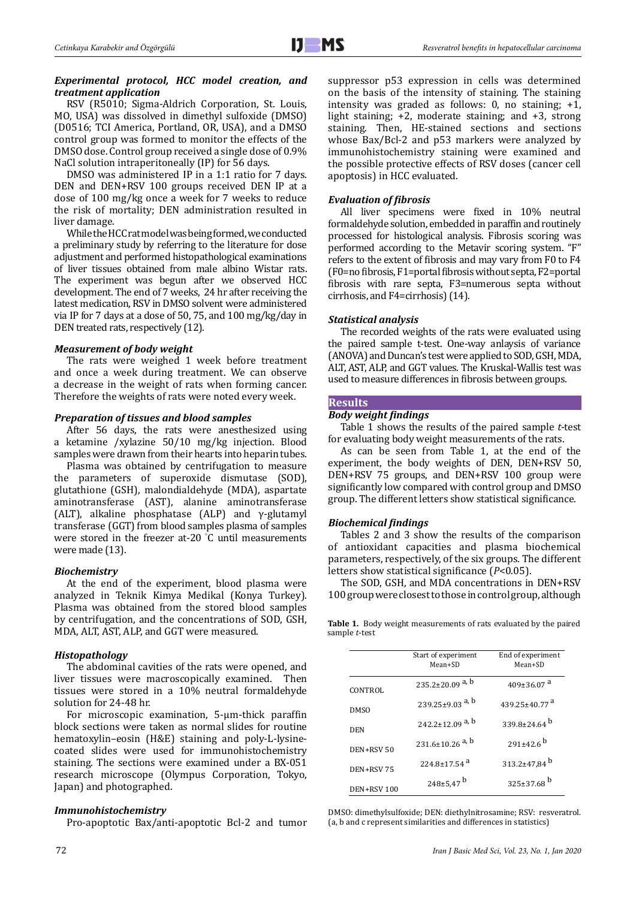## *Experimental protocol, HCC model creation, and treatment application*

RSV (R5010; Sigma-Aldrich Corporation, St. Louis, MO, USA) was dissolved in dimethyl sulfoxide (DMSO) (D0516; TCI America, Portland, OR, USA), and a DMSO control group was formed to monitor the effects of the DMSO dose. Control group received a single dose of 0.9% NaCl solution intraperitoneally (IP) for 56 days.

DMSO was administered IP in a 1:1 ratio for 7 days. DEN and DEN+RSV 100 groups received DEN IP at a dose of 100 mg/kg once a week for 7 weeks to reduce the risk of mortality; DEN administration resulted in liver damage.

While the HCC rat model was being formed, we conducted a preliminary study by referring to the literature for dose adjustment and performed histopathological examinations of liver tissues obtained from male albino Wistar rats. The experiment was begun after we observed HCC development. The end of 7 weeks, 24 hr after receiving the latest medication, RSV in DMSO solvent were administered via IP for 7 days at a dose of 50, 75, and 100 mg/kg/day in DEN treated rats, respectively (12).

# *Measurement of body weight*

The rats were weighed 1 week before treatment and once a week during treatment. We can observe a decrease in the weight of rats when forming cancer. Therefore the weights of rats were noted every week.

# *Preparation of tissues and blood samples*

After 56 days, the rats were anesthesized using a ketamine /xylazine 50/10 mg/kg injection. Blood samples were drawn from their hearts into heparin tubes.

Plasma was obtained by centrifugation to measure the parameters of superoxide dismutase (SOD), glutathione (GSH), malondialdehyde (MDA), aspartate aminotransferase (AST), alanine aminotransferase (ALT), alkaline phosphatase (ALP) and  $\gamma$ -glutamyl transferase (GGT) from blood samples plasma of samples were stored in the freezer at-20 ° C until measurements were made (13).

# *Biochemistry*

At the end of the experiment, blood plasma were analyzed in Teknik Kimya Medikal (Konya Turkey). Plasma was obtained from the stored blood samples by centrifugation, and the concentrations of SOD, GSH, MDA, ALT, AST, ALP, and GGT were measured.

# *Histopathology*

The abdominal cavities of the rats were opened, and liver tissues were macroscopically examined. Then tissues were stored in a 10% neutral formaldehyde solution for 24-48 hr.

For microscopic examination, 5-µm-thick paraffin block sections were taken as normal slides for routine hematoxylin–eosin (H&E) staining and poly-L-lysinecoated slides were used for immunohistochemistry staining. The sections were examined under a BX-051 research microscope (Olympus Corporation, Tokyo, Japan) and photographed.

# *Immunohistochemistry*

Pro-apoptotic Bax/anti-apoptotic Bcl-2 and tumor

suppressor p53 expression in cells was determined on the basis of the intensity of staining. The staining intensity was graded as follows: 0, no staining; +1, light staining; +2, moderate staining; and +3, strong staining. Then, HE-stained sections and sections whose Bax/Bcl-2 and p53 markers were analyzed by immunohistochemistry staining were examined and the possible protective effects of RSV doses (cancer cell apoptosis) in HCC evaluated.

# *Evaluation of fibrosis*

All liver specimens were fixed in 10% neutral formaldehyde solution, embedded in paraffin and routinely processed for histological analysis. Fibrosis scoring was performed according to the Metavir scoring system. "F" refers to the extent of fibrosis and may vary from F0 to F4 (F0=no fibrosis, F1=portal fibrosis without septa, F2=portal fibrosis with rare septa, F3=numerous septa without cirrhosis, and F4=cirrhosis) (14).

#### *Statistical analysis*

The recorded weights of the rats were evaluated using the paired sample t-test. One-way anlaysis of variance (ANOVA) and Duncan's test were applied to SOD, GSH, MDA, ALT, AST, ALP, and GGT values. The Kruskal-Wallis test was used to measure differences in fibrosis between groups.

# **Results**

# *Body weight findings*

Table 1 shows the results of the paired sample *t*-test for evaluating body weight measurements of the rats.

As can be seen from Table 1, at the end of the experiment, the body weights of DEN, DEN+RSV 50, DEN+RSV 75 groups, and DEN+RSV 100 group were significantly low compared with control group and DMSO group. The different letters show statistical significance.

# *Biochemical findings*

Tables 2 and 3 show the results of the comparison of antioxidant capacities and plasma biochemical parameters, respectively, of the six groups. The different letters show statistical significance (*P*<0.05).

The SOD, GSH, and MDA concentrations in DEN+RSV 100 group were closest to those in control group, although

**Table 1.** Body weight measurements of rats evaluated by the paired sample *t*-test

|                  | Start of experiment<br>Mean+SD    | End of experiment<br>Mean+SD |
|------------------|-----------------------------------|------------------------------|
| CONTROL          | $235.2 \pm 20.09$ <sup>a, b</sup> | $409\pm36.07$ <sup>a</sup>   |
| DMS <sub>0</sub> | 239.25±9.03 <sup>a, b</sup>       | 439.25+40.77 <sup>a</sup>    |
| DEN              | 242.2 $\pm$ 12.09 <sup>a, b</sup> | 339.8+24.64 $^{\rm b}$       |
| DEN+RSV 50       | $231.6 \pm 10.26$ <sup>a, b</sup> | $291 \pm 42.6$ <sup>b</sup>  |
| DEN+RSV75        | $224.8 \pm 17.54$ <sup>a</sup>    | 313.2±47,84 $^{b}$           |
| DEN+RSV 100      | $248 \pm 5.47$ <sup>b</sup>       | $325 \pm 37.68$ <sup>b</sup> |

DMSO: dimethylsulfoxide; DEN: diethylnitrosamine; RSV: resveratrol. (a, b and c represent similarities and differences in statistics)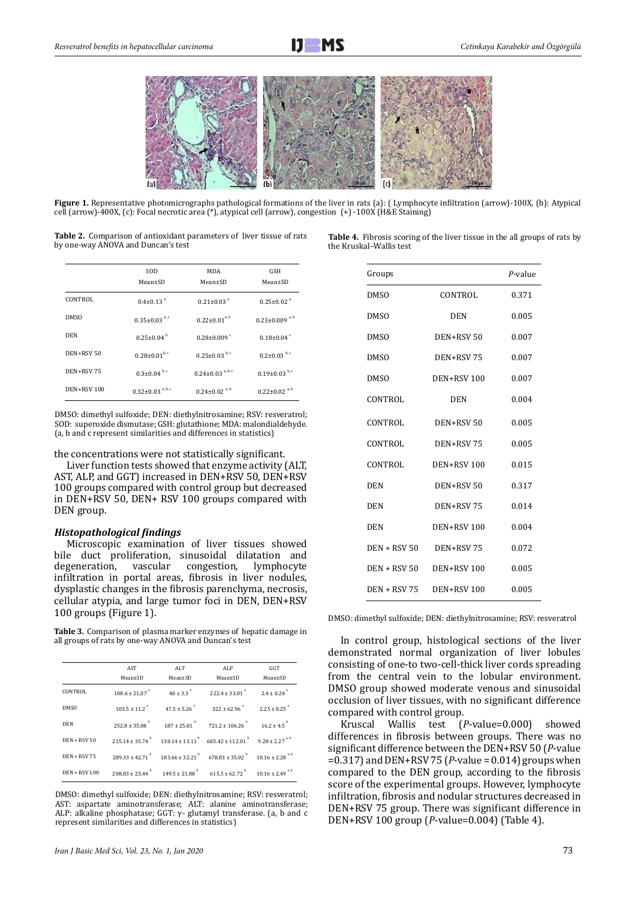

**Figure 1.** Representative photomicrographs pathological formations of the liver in rats (a): ( Lymphocyte infiltration (arrow)-100X, (b): Atypical cell (arrow)-400X, (c): Focal necrotic area (\*), atypical cell (arrow), congestion (+) -100X (H&E Staining)

**Table 2.** Comparison of antioxidant parameters of liver tissue of rats by one-way ANOVA and Duncan's test

|                   | SOD<br>$Mean \pm SD$               | <b>MDA</b><br>Mean±SD              | GSH<br>Mean±SD                   |
|-------------------|------------------------------------|------------------------------------|----------------------------------|
| CONTROL           | $0.4 \pm 0.13$ <sup>a</sup>        | $0.21 \pm 0.03$ <sup>a</sup>       | $0.25 \pm 0.02$ <sup>a</sup>     |
| <b>DMSO</b>       | $0.35 \pm 0.03$ <sup>a, c</sup>    | $0.22 \pm 0.01^{a, b}$             | $0.23 \pm 0.009$ <sup>a, b</sup> |
| DEN               | $0.25 \pm 0.04^{b}$                | $0.28 \pm 0.009$ <sup>c</sup>      | $0.18\pm0.04$ <sup>c</sup>       |
| DEN+RSV 50        | $0.28 \pm 0.01^{b,c}$              | $0.25 \pm 0.03$ <sub>b,c</sub>     | $0.2 \pm 0.03$ b, c              |
| DEN+RSV75         | $0.3 \pm 0.04$ <sub>b,c</sub>      | $0.24 \pm 0.03$ <sup>a, b, c</sup> | $0.19\pm0.03^{b,c}$              |
| <b>DEN+RSV100</b> | $0.32 \pm 0.03$ <sup>a, b, c</sup> | $0.24 \pm 0.02$ <sup>a, b</sup>    | $0.22 \pm 0.02^{a, b}$           |

DMSO: dimethyl sulfoxide; DEN: diethylnitrosamine; RSV: resveratrol; SOD: superoxide dismutase; GSH: glutathione; MDA: malondialdehyde. (a, b and c represent similarities and differences in statistics)

the concentrations were not statistically significant.

Liver function tests showed that enzyme activity (ALT, AST, ALP, and GGT) increased in DEN+RSV 50, DEN+RSV 100 groups compared with control group but decreased in DEN+RSV 50, DEN+ RSV 100 groups compared with DEN group.

#### *Histopathological findings*

Microscopic examination of liver tissues showed bile duct proliferation, sinusoidal dilatation and degeneration, vascular congestion, lymphocyte degeneration, vascular congestion, lymphocyte infiltration in portal areas, fibrosis in liver nodules, dysplastic changes in the fibrosis parenchyma, necrosis, cellular atypia, and large tumor foci in DEN, DEN+RSV 100 groups (Figure 1).

**Table 3.** Comparison of plasma marker enzymes of hepatic damage in all groups of rats by one-way ANOVA and Duncan's test

|                      | AST<br>Mean±SD | ALT<br>Mean±SD | ALP<br>Mean±SD                                                                                                                                                                                                                                               | GGT<br>Mean±SD |
|----------------------|----------------|----------------|--------------------------------------------------------------------------------------------------------------------------------------------------------------------------------------------------------------------------------------------------------------|----------------|
| CONTROL              |                |                | $108.6 \pm 21.07$ <sup>a</sup> $40 \pm 3.3$ <sup>a</sup> $222.4 \pm 33.01$ <sup>a</sup> $2.4 \pm 0.24$ <sup>a</sup>                                                                                                                                          |                |
| DMS <sub>O</sub>     |                |                | $103.5 \pm 11.2$ $47.5 \pm 5.26$ $322 \pm 62.96$ $2.25 \pm 0.25$ $47.5 \pm 0.25$ $322 \pm 62.96$ $2.25 \pm 0.25$ $32.25 \pm 0.25$ $32.25 \pm 0.25$ $32.25 \pm 0.25$ $32.25 \pm 0.25$ $32.25 \pm 0.25$ $32.25 \pm 0.25$ $32.25 \pm 0.25$ $32.25 \pm 0.25$ $3$ |                |
| <b>DEN</b>           |                |                | $252.8 \pm 35.08$ <sup>b</sup> $187 \pm 25.81$ <sup>b</sup> $721.2 \pm 106.26$ <sup>b</sup> $16.2 \pm 4.5$ <sup>b</sup>                                                                                                                                      |                |
| $DEN + RSV 50$       |                |                | $215.14 \pm 35.74$ $^{b}$ $130.14 \pm 13.11$ $^{b}$ $683.42 \pm 112.01$ $^{b}$ $9.28 \pm 2.27$ <sup>a, b</sup>                                                                                                                                               |                |
| <b>DEN + RSV 75</b>  |                |                | $289.33 \pm 42.71^{b}$ $183.66 \pm 32.21^{b}$ $678.83 \pm 35.02^{b}$ $10.16 \pm 2.28^{a,b}$                                                                                                                                                                  |                |
| <b>DEN + RSV 100</b> |                |                | $208.83 \pm 23.44$ $149.5 \pm 21.88$ $615.5 \pm 62.72$ $10.16 \pm 2.49$ <sup>a,b</sup>                                                                                                                                                                       |                |

DMSO: dimethyl sulfoxide; DEN: diethylnitrosamine; RSV: resveratrol; AST: aspartate aminotransferase; ALT: alanine aminotransferase; ALP: alkaline phosphatase; GGT:  $γ$ - glutamyl transferase. (a, b and c represent similarities and differences in statistics)

| <b>Table 4.</b> Fibrosis scoring of the liver tissue in the all groups of rats by |
|-----------------------------------------------------------------------------------|
| the Kruskal-Wallis test                                                           |

| Groups              |                   | P-value |
|---------------------|-------------------|---------|
| DMS <sub>0</sub>    | CONTROL           | 0.371   |
| DMS <sub>0</sub>    | <b>DEN</b>        | 0.005   |
| DMS <sub>0</sub>    | DEN+RSV 50        | 0.007   |
| <b>DMSO</b>         | DEN+RSV75         | 0.007   |
| <b>DMSO</b>         | <b>DEN+RSV100</b> | 0.007   |
| <b>CONTROL</b>      | <b>DEN</b>        | 0.004   |
| CONTROL             | DEN+RSV 50        | 0.005   |
| <b>CONTROL</b>      | DEN+RSV 75        | 0.005   |
| CONTROL             | <b>DEN+RSV100</b> | 0.015   |
| <b>DEN</b>          | DEN+RSV 50        | 0.317   |
| <b>DEN</b>          | DEN+RSV 75        | 0.014   |
| <b>DEN</b>          | <b>DEN+RSV100</b> | 0.004   |
| <b>DEN + RSV 50</b> | DEN+RSV 75        | 0.072   |
| $DEN + RSV 50$      | <b>DEN+RSV100</b> | 0.005   |
| <b>DEN + RSV 75</b> | <b>DEN+RSV100</b> | 0.005   |

DMSO: dimethyl sulfoxide; DEN: diethylnitrosamine; RSV: resveratrol

In control group, histological sections of the liver demonstrated normal organization of liver lobules consisting of one-to two-cell-thick liver cords spreading from the central vein to the lobular environment. DMSO group showed moderate venous and sinusoidal occlusion of liver tissues, with no significant difference compared with control group.

Kruscal Wallis test (*P*-value=0.000) showed differences in fibrosis between groups. There was no significant difference between the DEN+RSV 50 (*P*-value =0.317) and DEN+RSV 75 (*P*-value = 0.014) groups when compared to the DEN group, according to the fibrosis score of the experimental groups. However, lymphocyte infiltration, fibrosis and nodular structures decreased in DEN+RSV 75 group. There was significant difference in DEN+RSV 100 group (*P*-value=0.004) (Table 4).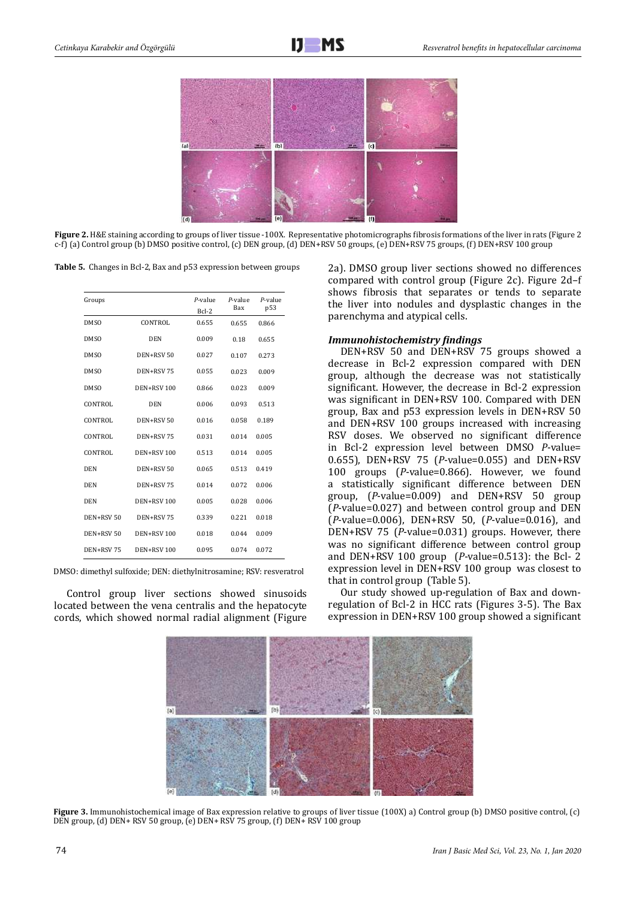

**Figure 2.** H&E staining according to groups of liver tissue -100X. Representative photomicrographs fibrosis formations of the liver in rats (Figure 2 c-f) (a) Control group (b) DMSO positive control, (c) DEN group, (d) DEN+RSV 50 groups, (e) DEN+RSV 75 groups, (f) DEN+RSV 100 group

**Table 5.** Changes in Bcl-2, Bax and p53 expression between groups

| Groups      |                   | $P$ -value<br>Bcl-2 | $P$ -value<br>Bax | $P$ -value<br>p53 |
|-------------|-------------------|---------------------|-------------------|-------------------|
| <b>DMSO</b> | CONTROL           | 0.655               | 0.655             | 0.866             |
| <b>DMSO</b> | <b>DEN</b>        | 0.009               | 0.18              | 0.655             |
| <b>DMSO</b> | DEN+RSV 50        | 0.027               | 0.107             | 0.273             |
| <b>DMSO</b> | DEN+RSV 75        | 0.055               | 0.023             | 0.009             |
| <b>DMSO</b> | DEN+RSV 100       | 0.866               | 0.023             | 0.009             |
| CONTROL     | <b>DEN</b>        | 0.006               | 0.093             | 0.513             |
| CONTROL     | DEN+RSV 50        | 0.016               | 0.058             | 0.189             |
| CONTROL     | DEN+RSV 75        | 0.031               | 0.014             | 0.005             |
| CONTROL     | DEN+RSV 100       | 0.513               | 0.014             | 0.005             |
| <b>DEN</b>  | DEN+RSV 50        | 0.065               | 0.513             | 0.419             |
| <b>DEN</b>  | DEN+RSV 75        | 0.014               | 0.072             | 0.006             |
| <b>DEN</b>  | DEN+RSV 100       | 0.005               | 0.028             | 0.006             |
| DEN+RSV 50  | DEN+RSV 75        | 0.339               | 0.221             | 0.018             |
| DEN+RSV 50  | DEN+RSV 100       | 0.018               | 0.044             | 0.009             |
| DEN+RSV 75  | <b>DEN+RSV100</b> | 0.095               | 0.074             | 0.072             |

DMSO: dimethyl sulfoxide; DEN: diethylnitrosamine; RSV: resveratrol

Control group liver sections showed sinusoids located between the vena centralis and the hepatocyte cords, which showed normal radial alignment (Figure 2a). DMSO group liver sections showed no differences compared with control group (Figure 2c). Figure 2d–f shows fibrosis that separates or tends to separate the liver into nodules and dysplastic changes in the parenchyma and atypical cells.

#### *Immunohistochemistry findings*

DEN+RSV 50 and DEN+RSV 75 groups showed a decrease in Bcl-2 expression compared with DEN group, although the decrease was not statistically significant. However, the decrease in Bcl-2 expression was significant in DEN+RSV 100. Compared with DEN group, Bax and p53 expression levels in DEN+RSV 50 and DEN+RSV 100 groups increased with increasing RSV doses. We observed no significant difference in Bcl-2 expression level between DMSO *P*-value= 0.655), DEN+RSV 75 (*P*-value=0.055) and DEN+RSV 100 groups (*P*-value=0.866). However, we found a statistically significant difference between DEN group, (*P*-value=0.009) and DEN+RSV 50 group (*P*-value=0.027) and between control group and DEN (*P*-value=0.006), DEN+RSV 50, (*P*-value=0.016), and DEN+RSV 75 (*P*-value=0.031) groups. However, there was no significant difference between control group and DEN+RSV 100 group (*P*-value=0.513): the Bcl- 2 expression level in DEN+RSV 100 group was closest to that in control group (Table 5).

Our study showed up-regulation of Bax and downregulation of Bcl-2 in HCC rats (Figures 3-5). The Bax expression in DEN+RSV 100 group showed a significant



**Figure 3.** Immunohistochemical image of Bax expression relative to groups of liver tissue (100X) a) Control group (b) DMSO positive control, (c) DEN group, (d) DEN+ RSV 50 group, (e) DEN+ RSV 75 group, (f) DEN+ RSV 100 group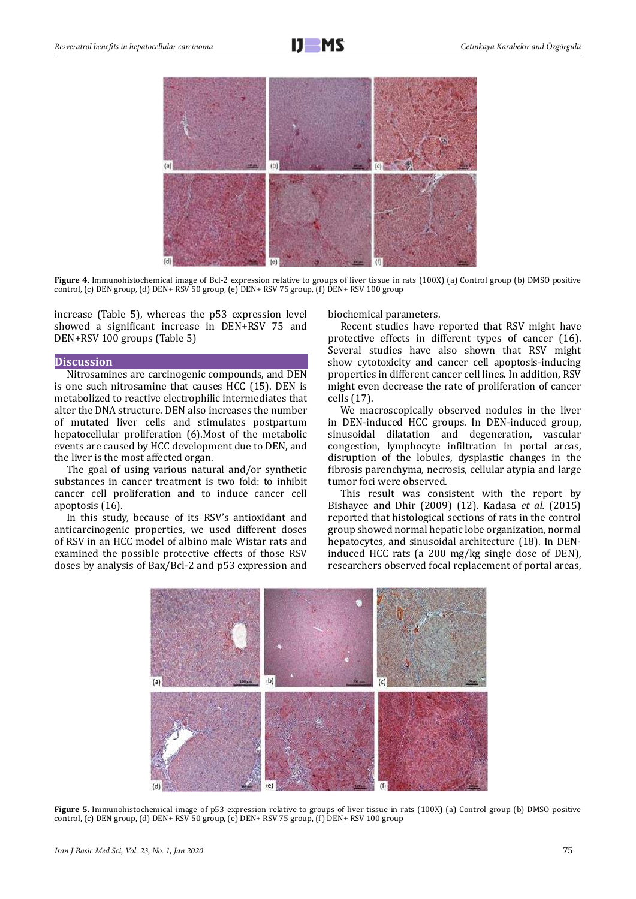

**Figure 4.** Immunohistochemical image of Bcl-2 expression relative to groups of liver tissue in rats (100X) (a) Control group (b) DMSO positive control, (c) DEN group, (d) DEN+ RSV 50 group, (e) DEN+ RSV 75 group, (f) DEN+ RSV 100 group

increase (Table 5), whereas the p53 expression level showed a significant increase in DEN+RSV 75 and DEN+RSV 100 groups (Table 5)

#### **Discussion**

Nitrosamines are carcinogenic compounds, and DEN is one such nitrosamine that causes HCC (15). DEN is metabolized to reactive electrophilic intermediates that alter the DNA structure. DEN also increases the number of mutated liver cells and stimulates postpartum hepatocellular proliferation (6).Most of the metabolic events are caused by HCC development due to DEN, and the liver is the most affected organ.

The goal of using various natural and/or synthetic substances in cancer treatment is two fold: to inhibit cancer cell proliferation and to induce cancer cell apoptosis (16).

In this study, because of its RSV's antioxidant and anticarcinogenic properties, we used different doses of RSV in an HCC model of albino male Wistar rats and examined the possible protective effects of those RSV doses by analysis of Bax/Bcl-2 and p53 expression and biochemical parameters.

Recent studies have reported that RSV might have protective effects in different types of cancer (16). Several studies have also shown that RSV might show cytotoxicity and cancer cell apoptosis-inducing properties in different cancer cell lines. In addition, RSV might even decrease the rate of proliferation of cancer cells (17).

We macroscopically observed nodules in the liver in DEN-induced HCC groups. In DEN-induced group, sinusoidal dilatation and degeneration, vascular congestion, lymphocyte infiltration in portal areas, disruption of the lobules, dysplastic changes in the fibrosis parenchyma, necrosis, cellular atypia and large tumor foci were observed.

This result was consistent with the report by Bishayee and Dhir (2009) (12). Kadasa *et al.* (2015) reported that histological sections of rats in the control group showed normal hepatic lobe organization, normal hepatocytes, and sinusoidal architecture (18). In DENinduced HCC rats (a 200 mg/kg single dose of DEN), researchers observed focal replacement of portal areas,



**Figure 5.** Immunohistochemical image of p53 expression relative to groups of liver tissue in rats (100X) (a) Control group (b) DMSO positive control, (c) DEN group, (d) DEN+ RSV 50 group, (e) DEN+ RSV 75 group, (f) DEN+ RSV 100 group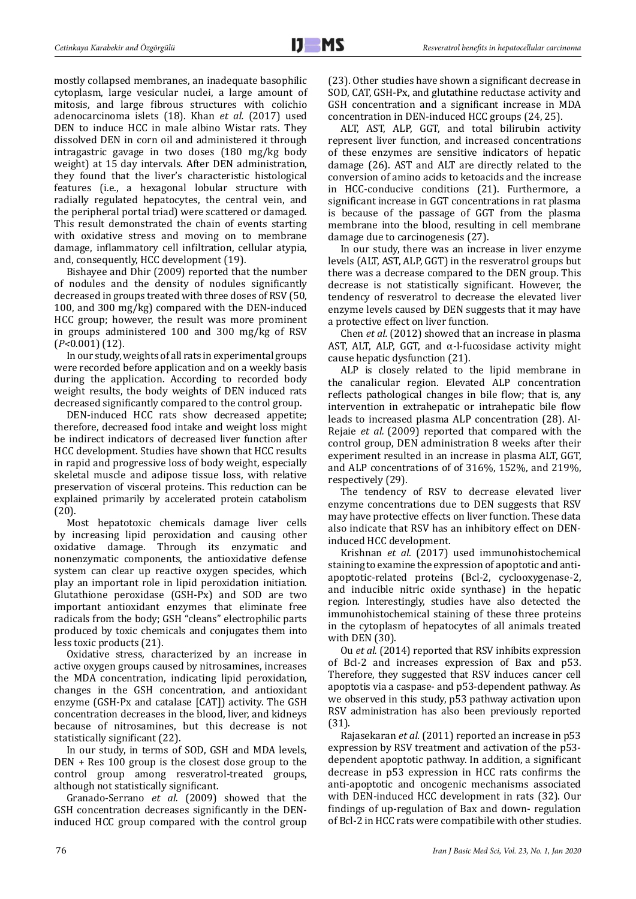mostly collapsed membranes, an inadequate basophilic cytoplasm, large vesicular nuclei, a large amount of mitosis, and large fibrous structures with colichio adenocarcinoma islets (18). Khan *et al.* (2017) used DEN to induce HCC in male albino Wistar rats. They dissolved DEN in corn oil and administered it through intragastric gavage in two doses (180 mg/kg body weight) at 15 day intervals. After DEN administration, they found that the liver's characteristic histological features (i.e., a hexagonal lobular structure with radially regulated hepatocytes, the central vein, and the peripheral portal triad) were scattered or damaged. This result demonstrated the chain of events starting with oxidative stress and moving on to membrane damage, inflammatory cell infiltration, cellular atypia, and, consequently, HCC development (19).

Bishayee and Dhir (2009) reported that the number of nodules and the density of nodules significantly decreased in groups treated with three doses of RSV (50, 100, and 300 mg/kg) compared with the DEN-induced HCC group; however, the result was more prominent in groups administered 100 and 300 mg/kg of RSV (*P<*0.001) (12).

In our study, weights of all rats in experimental groups were recorded before application and on a weekly basis during the application. According to recorded body weight results, the body weights of DEN induced rats decreased significantly compared to the control group.

DEN-induced HCC rats show decreased appetite; therefore, decreased food intake and weight loss might be indirect indicators of decreased liver function after HCC development. Studies have shown that HCC results in rapid and progressive loss of body weight, especially skeletal muscle and adipose tissue loss, with relative preservation of visceral proteins. This reduction can be explained primarily by accelerated protein catabolism (20).

Most hepatotoxic chemicals damage liver cells by increasing lipid peroxidation and causing other oxidative damage. Through its enzymatic and nonenzymatic components, the antioxidative defense system can clear up reactive oxygen specides, which play an important role in lipid peroxidation initiation. Glutathione peroxidase (GSH-Px) and SOD are two important antioxidant enzymes that eliminate free radicals from the body; GSH "cleans" electrophilic parts produced by toxic chemicals and conjugates them into less toxic products (21).

Oxidative stress, characterized by an increase in active oxygen groups caused by nitrosamines, increases the MDA concentration, indicating lipid peroxidation, changes in the GSH concentration, and antioxidant enzyme (GSH-Px and catalase [CAT]) activity. The GSH concentration decreases in the blood, liver, and kidneys because of nitrosamines, but this decrease is not statistically significant (22).

In our study, in terms of SOD, GSH and MDA levels, DEN + Res 100 group is the closest dose group to the control group among resveratrol-treated groups, although not statistically significant.

Granado-Serrano *et al.* (2009) showed that the GSH concentration decreases significantly in the DENinduced HCC group compared with the control group (23). Other studies have shown a significant decrease in SOD, CAT, GSH-Px, and glutathine reductase activity and GSH concentration and a significant increase in MDA concentration in DEN-induced HCC groups (24, 25).

ALT, AST, ALP, GGT, and total bilirubin activity represent liver function, and increased concentrations of these enzymes are sensitive indicators of hepatic damage (26). AST and ALT are directly related to the conversion of amino acids to ketoacids and the increase in HCC-conducive conditions (21). Furthermore, a significant increase in GGT concentrations in rat plasma is because of the passage of GGT from the plasma membrane into the blood, resulting in cell membrane damage due to carcinogenesis (27).

In our study, there was an increase in liver enzyme levels (ALT, AST, ALP, GGT) in the resveratrol groups but there was a decrease compared to the DEN group. This decrease is not statistically significant. However, the tendency of resveratrol to decrease the elevated liver enzyme levels caused by DEN suggests that it may have a protective effect on liver function.

Chen *et al.* (2012) showed that an increase in plasma AST, ALT, ALP, GGT, and  $α$ -l-fucosidase activity might cause hepatic dysfunction (21).

ALP is closely related to the lipid membrane in the canalicular region. Elevated ALP concentration reflects pathological changes in bile flow; that is, any intervention in extrahepatic or intrahepatic bile flow leads to increased plasma ALP concentration (28). Al-Rejaie *et al.* (2009) reported that compared with the control group, DEN administration 8 weeks after their experiment resulted in an increase in plasma ALT, GGT, and ALP concentrations of of 316%, 152%, and 219%, respectively (29).

The tendency of RSV to decrease elevated liver enzyme concentrations due to DEN suggests that RSV may have protective effects on liver function. These data also indicate that RSV has an inhibitory effect on DENinduced HCC development.

Krishnan *et al.* (2017) used immunohistochemical staining to examine the expression of apoptotic and antiapoptotic-related proteins (Bcl-2, cyclooxygenase-2, and inducible nitric oxide synthase) in the hepatic region. Interestingly, studies have also detected the immunohistochemical staining of these three proteins in the cytoplasm of hepatocytes of all animals treated with DEN (30).

Ou *et al.* (2014) reported that RSV inhibits expression of Bcl-2 and increases expression of Bax and p53. Therefore, they suggested that RSV induces cancer cell apoptotis via a caspase- and p53-dependent pathway. As we observed in this study, p53 pathway activation upon RSV administration has also been previously reported (31).

Rajasekaran *et al.* (2011) reported an increase in p53 expression by RSV treatment and activation of the p53 dependent apoptotic pathway. In addition, a significant decrease in p53 expression in HCC rats confirms the anti-apoptotic and oncogenic mechanisms associated with DEN-induced HCC development in rats (32). Our findings of up-regulation of Bax and down- regulation of Bcl-2 in HCC rats were compatibile with other studies.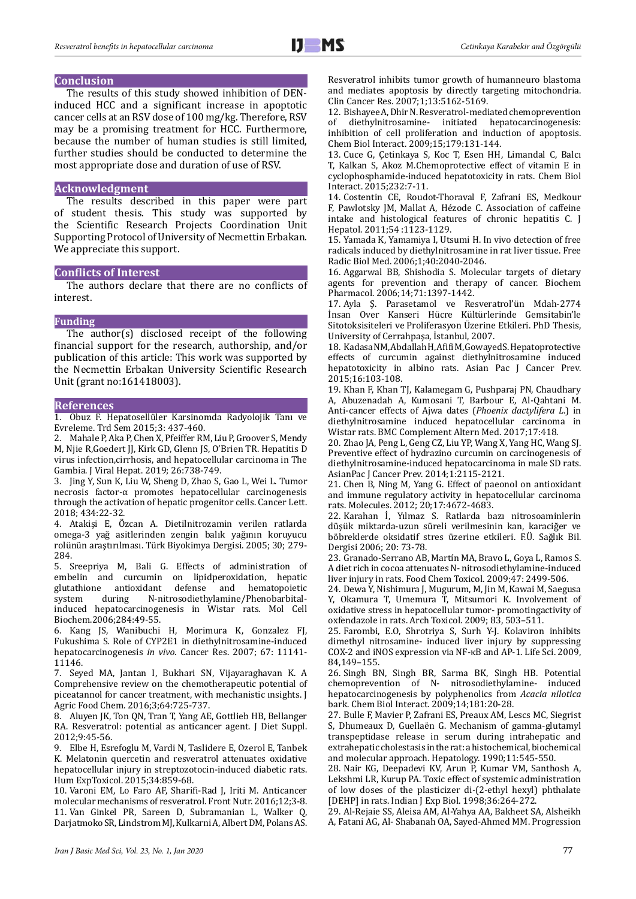# **Conclusion**

The results of this study showed inhibition of DENinduced HCC and a significant increase in apoptotic cancer cells at an RSV dose of 100 mg/kg. Therefore, RSV may be a promising treatment for HCC. Furthermore, because the number of human studies is still limited, further studies should be conducted to determine the most appropriate dose and duration of use of RSV.

#### **Acknowledgment**

The results described in this paper were part of student thesis. This study was supported by the Scientific Research Projects Coordination Unit Supporting Protocol of University of Necmettin Erbakan. We appreciate this support.

# **Conflicts of Interest**

The authors declare that there are no conflicts of interest.

# **Funding**

The author(s) disclosed receipt of the following financial support for the research, authorship, and/or publication of this article: This work was supported by the Necmettin Erbakan University Scientific Research Unit (grant no:161418003).

#### **References**

1. Obuz F. Hepatosellüler Karsinomda Radyolojik Tanı ve Evreleme. Trd Sem 2015; 3: 437-460.

2. Mahale P, Aka P, Chen X, Pfeiffer RM, Liu P, Groover S, Mendy M, Njie R,Goedert JJ, Kirk GD, Glenn JS, O'Brien TR. Hepatitis D virus infection,cirrhosis, and hepatocellular carcinoma in The Gambia. J Viral Hepat. 2019; 26:738-749.

3. Jing Y, Sun K, Liu W, Sheng D, Zhao S, Gao L, Wei L. Tumor necrosis factor-α promotes hepatocellular carcinogenesis through the activation of hepatic progenitor cells. Cancer Lett. 2018; 434:22-32.

4. Atakişi E, Özcan A. Dietilnitrozamin verilen ratlarda omega-3 yağ asitlerinden zengin balık yağının koruyucu rolünün araştırılması. Türk Biyokimya Dergisi. 2005; 30; 279- 284.

5. Sreepriya M, Bali G. Effects of administration of embelin and curcumin on lipidperoxidation, hepatic glutathione antioxidant defense and hematopoietic<br>system during N-nitrosodiethylamine/Phenobarbital-N-nitrosodiethylamine/Phenobarbitalinduced hepatocarcinogenesis in Wistar rats. Mol Cell Biochem.2006;284:49-55.

6. Kang JS, Wanibuchi H, Morimura K, Gonzalez FJ, Fukushima S. Role of CYP2E1 in diethylnitrosamine-induced hepatocarcinogenesis *in vivo*. Cancer Res. 2007; 67: 11141- 11146.

7. Seyed MA, Jantan I, Bukhari SN, Vijayaraghavan K. A Comprehensive review on the chemotherapeutic potential of piceatannol for cancer treatment, with mechanistic ınsights. J Agric Food Chem. 2016;3;64:725-737.

8. Aluyen JK, Ton QN, Tran T, Yang AE, Gottlieb HB, Bellanger RA. Resveratrol: potential as anticancer agent. J Diet Suppl. 2012;9:45-56.

9. Elbe H, Esrefoglu M, Vardi N, Taslidere E, Ozerol E, Tanbek K. Melatonin quercetin and resveratrol attenuates oxidative hepatocellular injury in streptozotocin-induced diabetic rats. Hum ExpToxicol. 2015;34:859-68.

10. Varoni EM, Lo Faro AF, Sharifi-Rad J, Iriti M. Anticancer molecular mechanisms of resveratrol. Front Nutr. 2016;12;3-8. 11. Van Ginkel PR, Sareen D, Subramanian L, Walker Q, Darjatmoko SR, Lindstrom MJ, Kulkarni A, Albert DM, Polans AS.

Resveratrol inhibits tumor growth of humanneuro blastoma and mediates apoptosis by directly targeting mitochondria. Clin Cancer Res. 2007;1;13:5162-5169.

12. Bishayee A, Dhir N. Resveratrol-mediated chemoprevention diethylnitrosamine- initiated hepatocarcinogenesis: inhibition of cell proliferation and induction of apoptosis. Chem Biol Interact. 2009;15;179:131-144.

13. Cuce G, Çetinkaya S, Koc T, Esen HH, Limandal C, Balcı T, Kalkan S, Akoz M.Chemoprotective effect of vitamin E in cyclophosphamide-induced hepatotoxicity in rats. Chem Biol Interact. 2015;232:7-11.

14. Costentin CE, Roudot-Thoraval F, Zafrani ES, Medkour F, Pawlotsky JM, Mallat A, Hézode C. Association of caffeine intake and histological features of chronic hepatitis C. J Hepatol. 2011;54 :1123-1129.

15. Yamada K, Yamamiya I, Utsumi H. In vivo detection of free radicals induced by diethylnitrosamine in rat liver tissue. Free Radic Biol Med. 2006;1;40:2040-2046.

16. Aggarwal BB, Shishodia S. Molecular targets of dietary agents for prevention and therapy of cancer. Biochem Pharmacol. 2006;14;71:1397-1442.

17. Ayla Ş. Parasetamol ve Resveratrol'ün Mdah-2774 İnsan Over Kanseri Hücre Kültürlerinde Gemsitabin'le Sitotoksisiteleri ve Proliferasyon Üzerine Etkileri. PhD Thesis, University of Cerrahpaşa, İstanbul, 2007.

18. Kadasa NM, Abdallah H, Afifi M, Gowayed S. Hepatoprotective effects of curcumin against diethylnitrosamine induced hepatotoxicity in albino rats. Asian Pac J Cancer Prev. 2015;16:103-108.

19. Khan F, Khan TJ, Kalamegam G, Pushparaj PN, Chaudhary A, Abuzenadah A, Kumosani T, Barbour E, Al-Qahtani M. Anti-cancer effects of Ajwa dates (*Phoenix dactylifera L*.) in diethylnitrosamine induced hepatocellular carcinoma in Wistar rats. BMC Complement Altern Med. 2017;17:418.

20. Zhao JA, Peng L, Geng CZ, Liu YP, Wang X, Yang HC, Wang SJ. Preventive effect of hydrazino curcumin on carcinogenesis of diethylnitrosamine-induced hepatocarcinoma in male SD rats. AsianPac J Cancer Prev. 2014;1:2115-2121.

21. Chen B, Ning M, Yang G. Effect of paeonol on antioxidant and immune regulatory activity in hepatocellular carcinoma rats. Molecules. 2012; 20;17:4672-4683.

22. Karahan İ, Yılmaz S. Ratlarda bazı nitrosoaminlerin düşük miktarda-uzun süreli verilmesinin kan, karaciğer ve böbreklerde oksidatif stres üzerine etkileri. F.Ü. Sağlık Bil. Dergisi 2006; 20: 73-78.

23. Granado-Serrano AB, Martín MA, Bravo L, Goya L, Ramos S. A diet rich in cocoa attenuates N- nitrosodiethylamine-induced liver injury in rats. Food Chem Toxicol. 2009;47: 2499-506.

24. Dewa Y, Nishimura J, Mugurum, M, Jin M, Kawai M, Saegusa Y, Okamura T, Umemura T, Mitsumori K. Involvement of oxidative stress in hepatocellular tumor- promotingactivity of oxfendazole in rats. Arch Toxicol. 2009; 83, 503–511.

25. Farombi, E.O, Shrotriya S, Surh Y-J. Kolaviron inhibits dimethyl nitrosamine- induced liver injury by suppressing COX-2 and iNOS expression via NF-κB and AP-1. Life Sci. 2009, 84,149–155.

26. Singh BN, Singh BR, Sarma BK, Singh HB. Potential chemoprevention of N- nitrosodiethylamine- induced hepatocarcinogenesis by polyphenolics from *Acacia nilotica* bark. Chem Biol Interact. 2009;14;181:20-28.

27. Bulle F, Mavier P, Zafrani ES, Preaux AM, Lescs MC, Siegrist S, Dhumeaux D, Guellaën G. Mechanism of gamma-glutamyl transpeptidase release in serum during intrahepatic and extrahepatic cholestasis in the rat: a histochemical, biochemical and molecular approach. Hepatology. 1990;11:545-550.

28. Nair KG, Deepadevi KV, Arun P, Kumar VM, Santhosh A, Lekshmi LR, Kurup PA. Toxic effect of systemic administration of low doses of the plasticizer di-(2-ethyl hexyl) phthalate [DEHP] in rats. Indian J Exp Biol. 1998;36:264-272.

29. Al-Rejaie SS, Aleisa AM, Al-Yahya AA, Bakheet SA, Alsheikh A, Fatani AG, Al- Shabanah OA, Sayed-Ahmed MM. Progression